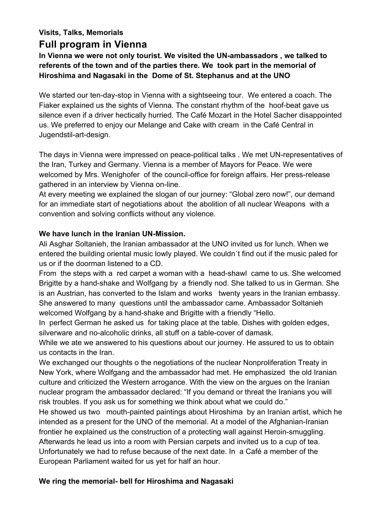# **Visits, Talks, Memorials Full program in Vienna**

**In Vienna we were not only tourist. We visited the UN-ambassadors , we talked to referents of the town and of the parties there. We took part in the memorial of Hiroshima and Nagasaki in the Dome of St. Stephanus and at the UNO**

We started our ten-day-stop in Vienna with a sightseeing tour. We entered a coach. The Fiaker explained us the sights of Vienna. The constant rhythm of the hoof-beat gave us silence even if a driver hectically hurried. The Café Mozart in the Hotel Sacher disappointed us. We preferred to enjoy our Melange and Cake with cream in the Café Central in Jugendstil-art-design.

The days in Vienna were impressed on peace-political talks . We met UN-representatives of the Iran, Turkey and Germany. Vienna is a member of Mayors for Peace. We were welcomed by Mrs. Wenighofer of the council-office for foreign affairs. Her press-release gathered in an interview by Vienna on-line.

At every meeting we explained the slogan of our journey: "Global zero now!", our demand for an immediate start of negotiations about the abolition of all nuclear Weapons with a convention and solving conflicts without any violence.

### **We have lunch in the Iranian UN-Mission.**

Ali Asghar Soltanieh, the Iranian ambassador at the UNO invited us for lunch. When we entered the building oriental music lowly played. We couldn´t find out if the music paled for us or if the doorman listened to a CD.

From the steps with a red carpet a woman with a head-shawl came to us. She welcomed Brigitte by a hand-shake and Wolfgang by a friendly nod. She talked to us in German. She is an Austrian, has converted to the Islam and works twenty years in the Iranian embassy. She answered to many questions until the ambassador came. Ambassador Soltanieh welcomed Wolfgang by a hand-shake and Brigitte with a friendly "Hello.

In perfect German he asked us for taking place at the table. Dishes with golden edges, silverware and no-alcoholic drinks, all stuff on a table-cover of damask.

While we ate we answered to his questions about our journey. He assured to us to obtain us contacts in the Iran.

We exchanged our thoughts o the negotiations of the nuclear Nonproliferation Treaty in New York, where Wolfgang and the ambassador had met. He emphasized the old Iranian culture and criticized the Western arrogance. With the view on the argues on the Iranian nuclear program the ambassador declared: "If you demand or threat the Iranians you will risk troubles. If you ask us for something we think about what we could do."

He showed us two mouth-painted paintings about Hiroshima by an Iranian artist, which he intended as a present for the UNO of the memorial. At a model of the Afghanian-Iranian frontier he explained us the construction of a protecting wall against Heroin-smuggling. Afterwards he lead us into a room with Persian carpets and invited us to a cup of tea. Unfortunately we had to refuse because of the next date. In a Café a member of the European Parliament waited for us yet for half an hour.

## **We ring the memorial- bell for Hiroshima and Nagasaki**